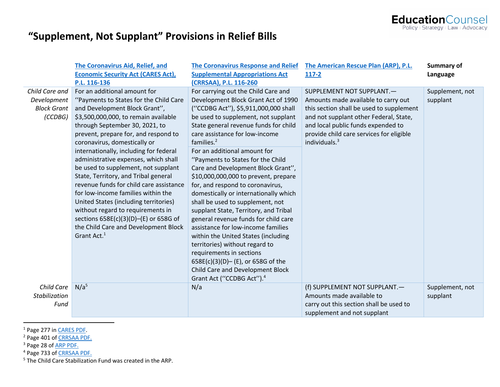

### **"Supplement, Not Supplant" Provisions in Relief Bills**

|                                                                | The Coronavirus Aid, Relief, and<br><b>Economic Security Act (CARES Act),</b><br>P.L. 116-136                                                                                                                                                                                                                                                                                                                                                                                                                                                                                                                                                                                                         | <b>The Coronavirus Response and Relief</b><br><b>Supplemental Appropriations Act</b><br>(CRRSAA), P.L. 116-260                                                                                                                                                                                                                                                                                                                                                                                                                                                                                                                                                                                                                                                                                                                                                          | The American Rescue Plan (ARP), P.L.<br>$117 - 2$                                                                                                                                                                                                                     | Summary of<br>Language      |
|----------------------------------------------------------------|-------------------------------------------------------------------------------------------------------------------------------------------------------------------------------------------------------------------------------------------------------------------------------------------------------------------------------------------------------------------------------------------------------------------------------------------------------------------------------------------------------------------------------------------------------------------------------------------------------------------------------------------------------------------------------------------------------|-------------------------------------------------------------------------------------------------------------------------------------------------------------------------------------------------------------------------------------------------------------------------------------------------------------------------------------------------------------------------------------------------------------------------------------------------------------------------------------------------------------------------------------------------------------------------------------------------------------------------------------------------------------------------------------------------------------------------------------------------------------------------------------------------------------------------------------------------------------------------|-----------------------------------------------------------------------------------------------------------------------------------------------------------------------------------------------------------------------------------------------------------------------|-----------------------------|
| Child Care and<br>Development<br><b>Block Grant</b><br>(CCDBG) | For an additional amount for<br>"Payments to States for the Child Care<br>and Development Block Grant",<br>\$3,500,000,000, to remain available<br>through September 30, 2021, to<br>prevent, prepare for, and respond to<br>coronavirus, domestically or<br>internationally, including for federal<br>administrative expenses, which shall<br>be used to supplement, not supplant<br>State, Territory, and Tribal general<br>revenue funds for child care assistance<br>for low-income families within the<br>United States (including territories)<br>without regard to requirements in<br>sections 658E(c)(3)(D)-(E) or 658G of<br>the Child Care and Development Block<br>Grant Act. <sup>1</sup> | For carrying out the Child Care and<br>Development Block Grant Act of 1990<br>("CCDBG Act"), \$5,911,000,000 shall<br>be used to supplement, not supplant<br>State general revenue funds for child<br>care assistance for low-income<br>families. $2$<br>For an additional amount for<br>"Payments to States for the Child<br>Care and Development Block Grant",<br>\$10,000,000,000 to prevent, prepare<br>for, and respond to coronavirus,<br>domestically or internationally which<br>shall be used to supplement, not<br>supplant State, Territory, and Tribal<br>general revenue funds for child care<br>assistance for low-income families<br>within the United States (including<br>territories) without regard to<br>requirements in sections<br>658E(c)(3)(D)-(E), or 658G of the<br>Child Care and Development Block<br>Grant Act ("CCDBG Act"). <sup>4</sup> | SUPPLEMENT NOT SUPPLANT.-<br>Amounts made available to carry out<br>this section shall be used to supplement<br>and not supplant other Federal, State,<br>and local public funds expended to<br>provide child care services for eligible<br>individuals. <sup>3</sup> | Supplement, not<br>supplant |
| Child Care<br>Stabilization<br>Fund                            | N/a <sup>5</sup>                                                                                                                                                                                                                                                                                                                                                                                                                                                                                                                                                                                                                                                                                      | N/a                                                                                                                                                                                                                                                                                                                                                                                                                                                                                                                                                                                                                                                                                                                                                                                                                                                                     | (f) SUPPLEMENT NOT SUPPLANT.-<br>Amounts made available to<br>carry out this section shall be used to<br>supplement and not supplant                                                                                                                                  | Supplement, not<br>supplant |

<sup>1</sup> Page 277 in CARES PDF.<br><sup>2</sup> Page 401 of CRRSAA PDF.

<sup>3</sup> Page 28 of **ARP PDF**.

<sup>4</sup> Page 733 of **CRRSAA PDF**.

<sup>5</sup> The Child Care Stabilization Fund was created in the ARP.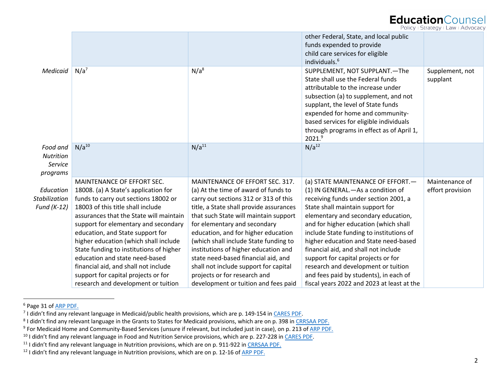#### **EducationCounsel**

Policy + Strategy + Law + Advocacy

|                       |                                         |                                         | other Federal, State, and local public<br>funds expended to provide<br>child care services for eligible<br>individuals. <sup>6</sup>                                                                                                                                                                                                      |                             |
|-----------------------|-----------------------------------------|-----------------------------------------|-------------------------------------------------------------------------------------------------------------------------------------------------------------------------------------------------------------------------------------------------------------------------------------------------------------------------------------------|-----------------------------|
| Medicaid              | $N/a^7$                                 | $N/a^8$                                 | SUPPLEMENT, NOT SUPPLANT.-The<br>State shall use the Federal funds<br>attributable to the increase under<br>subsection (a) to supplement, and not<br>supplant, the level of State funds<br>expended for home and community-<br>based services for eligible individuals<br>through programs in effect as of April 1,<br>2021. <sup>9</sup> | Supplement, not<br>supplant |
| Food and<br>Nutrition | $N/a^{10}$                              | N/a <sup>11</sup>                       | N/a <sup>12</sup>                                                                                                                                                                                                                                                                                                                         |                             |
| Service               |                                         |                                         |                                                                                                                                                                                                                                                                                                                                           |                             |
| programs              |                                         |                                         |                                                                                                                                                                                                                                                                                                                                           |                             |
|                       | MAINTENANCE OF EFFORT SEC.              | MAINTENANCE OF EFFORT SEC. 317.         | (a) STATE MAINTENANCE OF EFFORT.                                                                                                                                                                                                                                                                                                          | Maintenance of              |
| Education             | 18008. (a) A State's application for    | (a) At the time of award of funds to    | (1) IN GENERAL. - As a condition of                                                                                                                                                                                                                                                                                                       | effort provision            |
| <b>Stabilization</b>  | funds to carry out sections 18002 or    | carry out sections 312 or 313 of this   | receiving funds under section 2001, a                                                                                                                                                                                                                                                                                                     |                             |
| Fund (K-12)           | 18003 of this title shall include       | title, a State shall provide assurances | State shall maintain support for                                                                                                                                                                                                                                                                                                          |                             |
|                       | assurances that the State will maintain | that such State will maintain support   | elementary and secondary education,                                                                                                                                                                                                                                                                                                       |                             |
|                       | support for elementary and secondary    | for elementary and secondary            | and for higher education (which shall                                                                                                                                                                                                                                                                                                     |                             |
|                       | education, and State support for        | education, and for higher education     | include State funding to institutions of                                                                                                                                                                                                                                                                                                  |                             |
|                       | higher education (which shall include   | (which shall include State funding to   | higher education and State need-based                                                                                                                                                                                                                                                                                                     |                             |
|                       | State funding to institutions of higher | institutions of higher education and    | financial aid, and shall not include                                                                                                                                                                                                                                                                                                      |                             |
|                       | education and state need-based          | state need-based financial aid, and     | support for capital projects or for                                                                                                                                                                                                                                                                                                       |                             |
|                       | financial aid, and shall not include    | shall not include support for capital   | research and development or tuition                                                                                                                                                                                                                                                                                                       |                             |
|                       | support for capital projects or for     | projects or for research and            | and fees paid by students), in each of                                                                                                                                                                                                                                                                                                    |                             |
|                       | research and development or tuition     | development or tuition and fees paid    | fiscal years 2022 and 2023 at least at the                                                                                                                                                                                                                                                                                                |                             |

<sup>6</sup> Page 31 of ARP PDF.

<sup>&</sup>lt;sup>7</sup> I didn't find any relevant language in Medicaid/public health provisions, which are p. 149-154 in CARES PDF.

<sup>&</sup>lt;sup>8</sup> I didn't find any relevant language in the Grants to States for Medicaid provisions, which are on p. 398 in CRRSAA PDF.

<sup>&</sup>lt;sup>9</sup> For Medicaid Home and Community-Based Services (unsure if relevant, but included just in case), on p. 213 of ARP PDF.

<sup>&</sup>lt;sup>10</sup> I didn't find any relevant language in Food and Nutrition Service provisions, which are p. 227-228 in CARES PDF.<br><sup>11</sup> I didn't find any relevant language in Nutrition provisions, which are on p. 911-922 in CRRSAA PDF

<sup>&</sup>lt;sup>12</sup> I didn't find any relevant language in Nutrition provisions, which are on p. 12-16 of **ARP PDF**.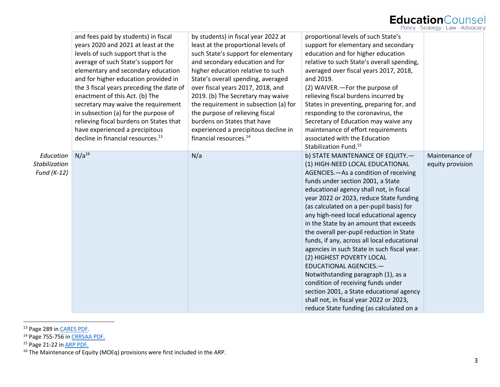## Education Counsel

|               | and fees paid by students) in fiscal<br>years 2020 and 2021 at least at the<br>levels of such support that is the<br>average of such State's support for<br>elementary and secondary education<br>and for higher education provided in<br>the 3 fiscal years preceding the date of | by students) in fiscal year 2022 at<br>least at the proportional levels of<br>such State's support for elementary<br>and secondary education and for<br>higher education relative to such<br>State's overall spending, averaged<br>over fiscal years 2017, 2018, and | proportional levels of such State's<br>support for elementary and secondary<br>education and for higher education<br>relative to such State's overall spending,<br>averaged over fiscal years 2017, 2018,<br>and 2019.<br>(2) WAIVER. - For the purpose of |                  |
|---------------|------------------------------------------------------------------------------------------------------------------------------------------------------------------------------------------------------------------------------------------------------------------------------------|----------------------------------------------------------------------------------------------------------------------------------------------------------------------------------------------------------------------------------------------------------------------|------------------------------------------------------------------------------------------------------------------------------------------------------------------------------------------------------------------------------------------------------------|------------------|
|               | enactment of this Act. (b) The                                                                                                                                                                                                                                                     | 2019. (b) The Secretary may waive                                                                                                                                                                                                                                    | relieving fiscal burdens incurred by                                                                                                                                                                                                                       |                  |
|               | secretary may waive the requirement<br>in subsection (a) for the purpose of                                                                                                                                                                                                        | the requirement in subsection (a) for<br>the purpose of relieving fiscal                                                                                                                                                                                             | States in preventing, preparing for, and<br>responding to the coronavirus, the                                                                                                                                                                             |                  |
|               | relieving fiscal burdens on States that                                                                                                                                                                                                                                            | burdens on States that have                                                                                                                                                                                                                                          | Secretary of Education may waive any                                                                                                                                                                                                                       |                  |
|               | have experienced a precipitous                                                                                                                                                                                                                                                     | experienced a precipitous decline in                                                                                                                                                                                                                                 | maintenance of effort requirements                                                                                                                                                                                                                         |                  |
|               | decline in financial resources. <sup>13</sup>                                                                                                                                                                                                                                      | financial resources. <sup>14</sup>                                                                                                                                                                                                                                   | associated with the Education                                                                                                                                                                                                                              |                  |
|               |                                                                                                                                                                                                                                                                                    |                                                                                                                                                                                                                                                                      | Stabilization Fund. <sup>15</sup>                                                                                                                                                                                                                          |                  |
| Education     | $N/a^{16}$                                                                                                                                                                                                                                                                         | N/a                                                                                                                                                                                                                                                                  | b) STATE MAINTENANCE OF EQUITY.-                                                                                                                                                                                                                           | Maintenance of   |
| Stabilization |                                                                                                                                                                                                                                                                                    |                                                                                                                                                                                                                                                                      | (1) HIGH-NEED LOCAL EDUCATIONAL<br>AGENCIES. - As a condition of receiving                                                                                                                                                                                 | equity provision |
| Fund $(K-12)$ |                                                                                                                                                                                                                                                                                    |                                                                                                                                                                                                                                                                      | funds under section 2001, a State                                                                                                                                                                                                                          |                  |
|               |                                                                                                                                                                                                                                                                                    |                                                                                                                                                                                                                                                                      | educational agency shall not, in fiscal                                                                                                                                                                                                                    |                  |
|               |                                                                                                                                                                                                                                                                                    |                                                                                                                                                                                                                                                                      | year 2022 or 2023, reduce State funding                                                                                                                                                                                                                    |                  |
|               |                                                                                                                                                                                                                                                                                    |                                                                                                                                                                                                                                                                      | (as calculated on a per-pupil basis) for                                                                                                                                                                                                                   |                  |
|               |                                                                                                                                                                                                                                                                                    |                                                                                                                                                                                                                                                                      | any high-need local educational agency                                                                                                                                                                                                                     |                  |
|               |                                                                                                                                                                                                                                                                                    |                                                                                                                                                                                                                                                                      | in the State by an amount that exceeds                                                                                                                                                                                                                     |                  |
|               |                                                                                                                                                                                                                                                                                    |                                                                                                                                                                                                                                                                      | the overall per-pupil reduction in State                                                                                                                                                                                                                   |                  |
|               |                                                                                                                                                                                                                                                                                    |                                                                                                                                                                                                                                                                      | funds, if any, across all local educational                                                                                                                                                                                                                |                  |
|               |                                                                                                                                                                                                                                                                                    |                                                                                                                                                                                                                                                                      | agencies in such State in such fiscal year.                                                                                                                                                                                                                |                  |
|               |                                                                                                                                                                                                                                                                                    |                                                                                                                                                                                                                                                                      | (2) HIGHEST POVERTY LOCAL                                                                                                                                                                                                                                  |                  |
|               |                                                                                                                                                                                                                                                                                    |                                                                                                                                                                                                                                                                      | EDUCATIONAL AGENCIES.-<br>Notwithstanding paragraph (1), as a                                                                                                                                                                                              |                  |
|               |                                                                                                                                                                                                                                                                                    |                                                                                                                                                                                                                                                                      | condition of receiving funds under                                                                                                                                                                                                                         |                  |
|               |                                                                                                                                                                                                                                                                                    |                                                                                                                                                                                                                                                                      | section 2001, a State educational agency                                                                                                                                                                                                                   |                  |
|               |                                                                                                                                                                                                                                                                                    |                                                                                                                                                                                                                                                                      | shall not, in fiscal year 2022 or 2023,                                                                                                                                                                                                                    |                  |
|               |                                                                                                                                                                                                                                                                                    |                                                                                                                                                                                                                                                                      | reduce State funding (as calculated on a                                                                                                                                                                                                                   |                  |

<sup>13</sup> Page 289 in **CARES PDF**.

<sup>&</sup>lt;sup>14</sup> Page 755-756 in CRRSAA PDF.

<sup>&</sup>lt;sup>15</sup> Page 21-22 in **ARP PDF**.

 $16$  The Maintenance of Equity (MOEq) provisions were first included in the ARP.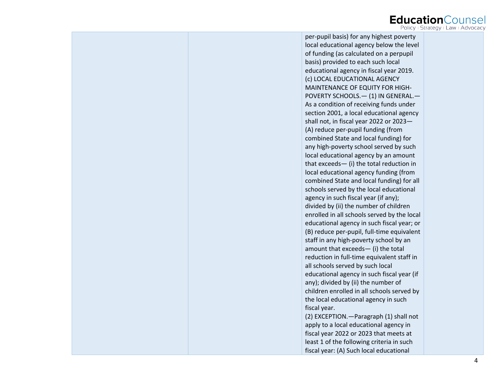# Education Counsel

| per-pupil basis) for any highest poverty    |  |
|---------------------------------------------|--|
| local educational agency below the level    |  |
| of funding (as calculated on a perpupil     |  |
| basis) provided to each such local          |  |
| educational agency in fiscal year 2019.     |  |
| (c) LOCAL EDUCATIONAL AGENCY                |  |
| MAINTENANCE OF EQUITY FOR HIGH-             |  |
| POVERTY SCHOOLS. - (1) IN GENERAL. -        |  |
| As a condition of receiving funds under     |  |
| section 2001, a local educational agency    |  |
| shall not, in fiscal year 2022 or 2023-     |  |
| (A) reduce per-pupil funding (from          |  |
| combined State and local funding) for       |  |
| any high-poverty school served by such      |  |
| local educational agency by an amount       |  |
| that exceeds- (i) the total reduction in    |  |
| local educational agency funding (from      |  |
| combined State and local funding) for all   |  |
| schools served by the local educational     |  |
| agency in such fiscal year (if any);        |  |
| divided by (ii) the number of children      |  |
| enrolled in all schools served by the local |  |
| educational agency in such fiscal year; or  |  |
| (B) reduce per-pupil, full-time equivalent  |  |
| staff in any high-poverty school by an      |  |
| amount that exceeds- (i) the total          |  |
| reduction in full-time equivalent staff in  |  |
| all schools served by such local            |  |
| educational agency in such fiscal year (if  |  |
| any); divided by (ii) the number of         |  |
| children enrolled in all schools served by  |  |
| the local educational agency in such        |  |
| fiscal year.                                |  |
| (2) EXCEPTION. - Paragraph (1) shall not    |  |
| apply to a local educational agency in      |  |
| fiscal year 2022 or 2023 that meets at      |  |
| least 1 of the following criteria in such   |  |
| fiscal year: (A) Such local educational     |  |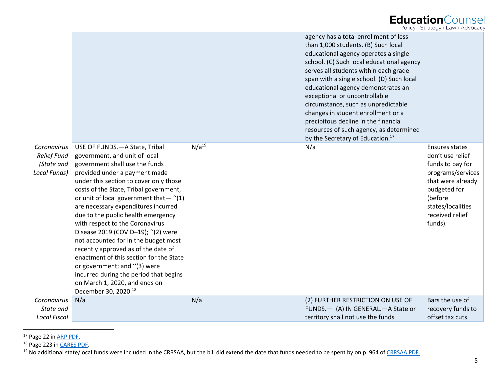### EducationCounsel

|  | Policy + Strategy + Law + Advocacy |  |  |
|--|------------------------------------|--|--|
|--|------------------------------------|--|--|

|                                                                 |                                                                                                                                                                                                                                                                                                                                                                                                                                                                                                                                                                                                                                                                                                 |            | agency has a total enrollment of less<br>than 1,000 students. (B) Such local<br>educational agency operates a single<br>school. (C) Such local educational agency<br>serves all students within each grade<br>span with a single school. (D) Such local<br>educational agency demonstrates an<br>exceptional or uncontrollable<br>circumstance, such as unpredictable<br>changes in student enrollment or a<br>precipitous decline in the financial<br>resources of such agency, as determined<br>by the Secretary of Education. <sup>17</sup> |                                                                                                                                                                                       |
|-----------------------------------------------------------------|-------------------------------------------------------------------------------------------------------------------------------------------------------------------------------------------------------------------------------------------------------------------------------------------------------------------------------------------------------------------------------------------------------------------------------------------------------------------------------------------------------------------------------------------------------------------------------------------------------------------------------------------------------------------------------------------------|------------|------------------------------------------------------------------------------------------------------------------------------------------------------------------------------------------------------------------------------------------------------------------------------------------------------------------------------------------------------------------------------------------------------------------------------------------------------------------------------------------------------------------------------------------------|---------------------------------------------------------------------------------------------------------------------------------------------------------------------------------------|
| Coronavirus<br><b>Relief Fund</b><br>(State and<br>Local Funds) | USE OF FUNDS. - A State, Tribal<br>government, and unit of local<br>government shall use the funds<br>provided under a payment made<br>under this section to cover only those<br>costs of the State, Tribal government,<br>or unit of local government that-"(1)<br>are necessary expenditures incurred<br>due to the public health emergency<br>with respect to the Coronavirus<br>Disease 2019 (COVID-19); "(2) were<br>not accounted for in the budget most<br>recently approved as of the date of<br>enactment of this section for the State<br>or government; and "(3) were<br>incurred during the period that begins<br>on March 1, 2020, and ends on<br>December 30, 2020. <sup>18</sup> | $N/a^{19}$ | N/a                                                                                                                                                                                                                                                                                                                                                                                                                                                                                                                                            | <b>Ensures states</b><br>don't use relief<br>funds to pay for<br>programs/services<br>that were already<br>budgeted for<br>(before<br>states/localities<br>received relief<br>funds). |
| Coronavirus                                                     | N/a                                                                                                                                                                                                                                                                                                                                                                                                                                                                                                                                                                                                                                                                                             | N/a        | (2) FURTHER RESTRICTION ON USE OF                                                                                                                                                                                                                                                                                                                                                                                                                                                                                                              | Bars the use of                                                                                                                                                                       |
| State and<br><b>Local Fiscal</b>                                |                                                                                                                                                                                                                                                                                                                                                                                                                                                                                                                                                                                                                                                                                                 |            | FUNDS. - (A) IN GENERAL. - A State or<br>territory shall not use the funds                                                                                                                                                                                                                                                                                                                                                                                                                                                                     | recovery funds to<br>offset tax cuts.                                                                                                                                                 |

<sup>&</sup>lt;sup>17</sup> Page 22 in ARP PDF.

<sup>&</sup>lt;sup>18</sup> Page 223 in <u>CARES PDF</u>.<br><sup>19</sup> No additional state/local funds were included in the CRRSAA, but the bill did extend the date that funds needed to be spent by on p. 964 of <u>CRRSAA PDF.</u>